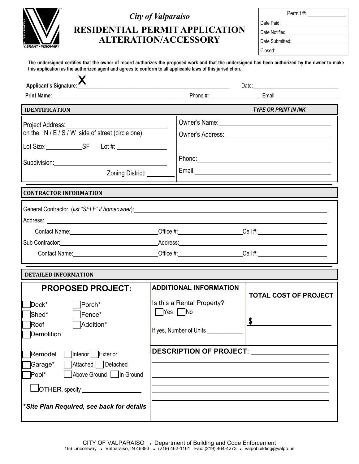

## *City of Valparaiso*

| <b>RESIDENTIAL PERMIT APPLICATION</b> |
|---------------------------------------|
| <b>ALTERATION/ACCESSORY</b>           |

| Permit #:               |
|-------------------------|
| Date Paid: ____________ |
| l Date Notified:        |
| l Date Submitted:       |
| Closed:                 |

**The undersigned certifies that the owner of record authorizes the proposed work and that the undersigned has been authorized by the owner to make this application as the authorized agent and agrees to conform to all applicable laws of this jurisdiction.**

| Applicant's Signature:                                                                                                                                                                                                                                                                                                                                      |                                                                                                                          |                                    |
|-------------------------------------------------------------------------------------------------------------------------------------------------------------------------------------------------------------------------------------------------------------------------------------------------------------------------------------------------------------|--------------------------------------------------------------------------------------------------------------------------|------------------------------------|
|                                                                                                                                                                                                                                                                                                                                                             |                                                                                                                          |                                    |
| <b>IDENTIFICATION</b>                                                                                                                                                                                                                                                                                                                                       |                                                                                                                          | <b>TYPE OR PRINT IN INK</b>        |
| Project Address: No. 1996. The Contract of the Contract of the Contract of the Contract of the Contract of the Contract of the Contract of the Contract of the Contract of the Contract of the Contract of the Contract of the<br>on the N/E/S/W side of street (circle one)<br>Subdivision: Subdivision:<br>Zoning District: _____                         |                                                                                                                          |                                    |
| <b>CONTRACTOR INFORMATION</b>                                                                                                                                                                                                                                                                                                                               |                                                                                                                          |                                    |
| Sub Contractor: Notified the Address: National Address: National Address: National Address: National Address: National Address: National Address: National Address: National Address: National Address: National Address: Nati<br>Contact Name: <u>__________________________________Office</u> #: _____________________Cell #: ___________________________ |                                                                                                                          |                                    |
| <b>DETAILED INFORMATION</b>                                                                                                                                                                                                                                                                                                                                 |                                                                                                                          |                                    |
| <b>PROPOSED PROJECT:</b><br>$Deck^*$<br>Porch*<br>ไShed*<br>$\overline{\phantom{a}}$ Fence*<br>Roof<br>Addition*<br>Demolition                                                                                                                                                                                                                              | <b>ADDITIONAL INFORMATION</b><br>Is this a Rental Property?<br>$\Box$ Yes $\Box$ No<br>If yes, Number of Units _________ | <b>TOTAL COST OF PROJECT</b><br>\$ |
| Remodel<br>1Interior Exterior<br>Attached Detached<br>Garage*<br>Above Ground In Ground<br>Pool*<br>$\sqcup$ OTHER, specify $\_$<br>*Site Plan Required, see back for details                                                                                                                                                                               | <b>DESCRIPTION OF PROJECT:</b>                                                                                           |                                    |